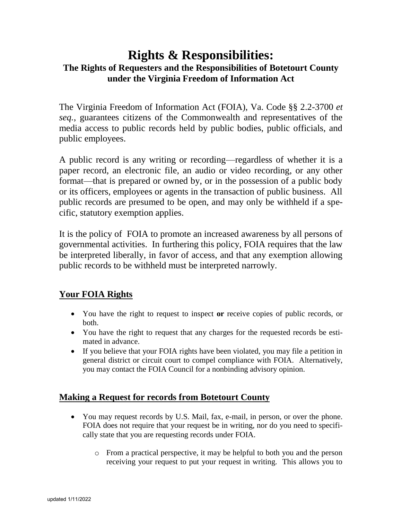# **Rights & Responsibilities: The Rights of Requesters and the Responsibilities of Botetourt County under the Virginia Freedom of Information Act**

The Virginia Freedom of Information Act (FOIA), Va. Code §§ 2.2-3700 *et seq.*, guarantees citizens of the Commonwealth and representatives of the media access to public records held by public bodies, public officials, and public employees.

A public record is any writing or recording—regardless of whether it is a paper record, an electronic file, an audio or video recording, or any other format—that is prepared or owned by, or in the possession of a public body or its officers, employees or agents in the transaction of public business. All public records are presumed to be open, and may only be withheld if a specific, statutory exemption applies.

It is the policy of FOIA to promote an increased awareness by all persons of governmental activities. In furthering this policy, FOIA requires that the law be interpreted liberally, in favor of access, and that any exemption allowing public records to be withheld must be interpreted narrowly.

# **Your FOIA Rights**

- You have the right to request to inspect **or** receive copies of public records, or both.
- You have the right to request that any charges for the requested records be estimated in advance.
- If you believe that your FOIA rights have been violated, you may file a petition in general district or circuit court to compel compliance with FOIA. Alternatively, you may contact the FOIA Council for a nonbinding advisory opinion.

# **Making a Request for records from Botetourt County**

- You may request records by U.S. Mail, fax, e-mail, in person, or over the phone. FOIA does not require that your request be in writing, nor do you need to specifically state that you are requesting records under FOIA.
	- o From a practical perspective, it may be helpful to both you and the person receiving your request to put your request in writing. This allows you to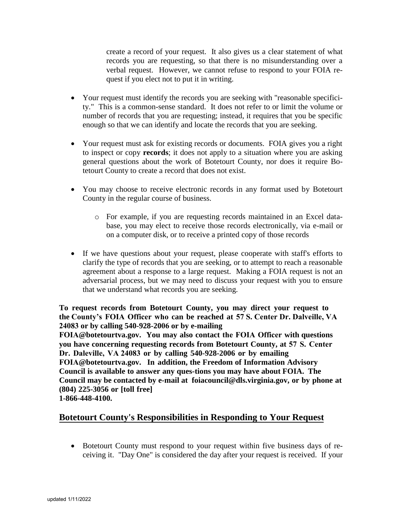create a record of your request. It also gives us a clear statement of what records you are requesting, so that there is no misunderstanding over a verbal request. However, we cannot refuse to respond to your FOIA request if you elect not to put it in writing.

- Your request must identify the records you are seeking with "reasonable specificity." This is a common-sense standard. It does not refer to or limit the volume or number of records that you are requesting; instead, it requires that you be specific enough so that we can identify and locate the records that you are seeking.
- Your request must ask for existing records or documents. FOIA gives you a right to inspect or copy **records**; it does not apply to a situation where you are asking general questions about the work of Botetourt County, nor does it require Botetourt County to create a record that does not exist.
- You may choose to receive electronic records in any format used by Botetourt County in the regular course of business.
	- o For example, if you are requesting records maintained in an Excel database, you may elect to receive those records electronically, via e-mail or on a computer disk, or to receive a printed copy of those records
- If we have questions about your request, please cooperate with staff's efforts to clarify the type of records that you are seeking, or to attempt to reach a reasonable agreement about a response to a large request. Making a FOIA request is not an adversarial process, but we may need to discuss your request with you to ensure that we understand what records you are seeking.

**To request records from Botetourt County, you may direct your request to the County's FOIA Officer who can be reached at 57 S. Center Dr. Dalveille, VA 24083 or by calling 540-928-2006 or by e-mailing**

**FOIA@botetourtva.gov. You may also contact the FOIA Officer with questions you have concerning requesting records from Botetourt County, at 57 S. Center Dr. Daleville, VA 24083 or by calling 540-928-2006 or by emailing FOIA@botetourtva.gov. In addition, the Freedom of Information Advisory Council is available to answer any ques-tions you may have about FOIA. The Council may be contacted by e-mail at foiacouncil@dls.virginia.gov, or by phone at (804) 225-3056 or [toll free] 1-866-448-4100.**

## **Botetourt County's Responsibilities in Responding to Your Request**

 Botetourt County must respond to your request within five business days of receiving it. "Day One" is considered the day after your request is received. If your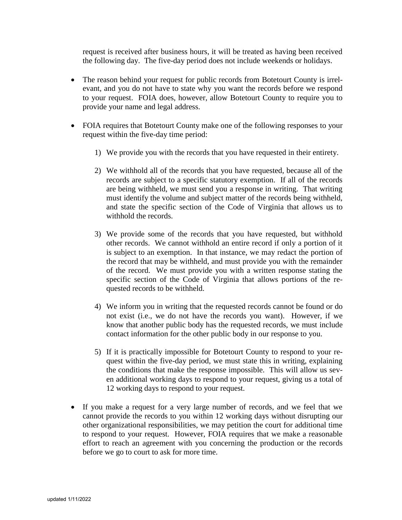request is received after business hours, it will be treated as having been received the following day. The five-day period does not include weekends or holidays.

- The reason behind your request for public records from Botetourt County is irrelevant, and you do not have to state why you want the records before we respond to your request. FOIA does, however, allow Botetourt County to require you to provide your name and legal address.
- FOIA requires that Botetourt County make one of the following responses to your request within the five-day time period:
	- 1) We provide you with the records that you have requested in their entirety.
	- 2) We withhold all of the records that you have requested, because all of the records are subject to a specific statutory exemption. If all of the records are being withheld, we must send you a response in writing. That writing must identify the volume and subject matter of the records being withheld, and state the specific section of the Code of Virginia that allows us to withhold the records.
	- 3) We provide some of the records that you have requested, but withhold other records. We cannot withhold an entire record if only a portion of it is subject to an exemption. In that instance, we may redact the portion of the record that may be withheld, and must provide you with the remainder of the record. We must provide you with a written response stating the specific section of the Code of Virginia that allows portions of the requested records to be withheld.
	- 4) We inform you in writing that the requested records cannot be found or do not exist (i.e., we do not have the records you want). However, if we know that another public body has the requested records, we must include contact information for the other public body in our response to you.
	- 5) If it is practically impossible for Botetourt County to respond to your request within the five-day period, we must state this in writing, explaining the conditions that make the response impossible. This will allow us seven additional working days to respond to your request, giving us a total of 12 working days to respond to your request.
- If you make a request for a very large number of records, and we feel that we cannot provide the records to you within 12 working days without disrupting our other organizational responsibilities, we may petition the court for additional time to respond to your request. However, FOIA requires that we make a reasonable effort to reach an agreement with you concerning the production or the records before we go to court to ask for more time.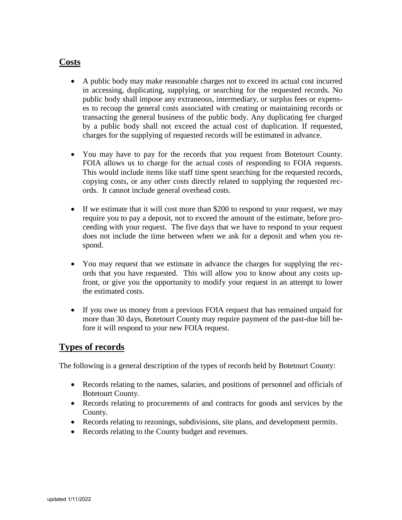### **Costs**

- A public body may make reasonable charges not to exceed its actual cost incurred in accessing, duplicating, supplying, or searching for the requested records. No public body shall impose any extraneous, intermediary, or surplus fees or expenses to recoup the general costs associated with creating or maintaining records or transacting the general business of the public body. Any duplicating fee charged by a public body shall not exceed the actual cost of duplication. If requested, charges for the supplying of requested records will be estimated in advance.
- You may have to pay for the records that you request from Botetourt County. FOIA allows us to charge for the actual costs of responding to FOIA requests. This would include items like staff time spent searching for the requested records, copying costs, or any other costs directly related to supplying the requested records. It cannot include general overhead costs.
- If we estimate that it will cost more than \$200 to respond to your request, we may require you to pay a deposit, not to exceed the amount of the estimate, before proceeding with your request. The five days that we have to respond to your request does not include the time between when we ask for a deposit and when you respond.
- You may request that we estimate in advance the charges for supplying the records that you have requested. This will allow you to know about any costs upfront, or give you the opportunity to modify your request in an attempt to lower the estimated costs.
- If you owe us money from a previous FOIA request that has remained unpaid for more than 30 days, Botetourt County may require payment of the past-due bill before it will respond to your new FOIA request.

#### **Types of records**

The following is a general description of the types of records held by Botetourt County:

- Records relating to the names, salaries, and positions of personnel and officials of Botetourt County.
- Records relating to procurements of and contracts for goods and services by the County.
- Records relating to rezonings, subdivisions, site plans, and development permits.
- Records relating to the County budget and revenues.